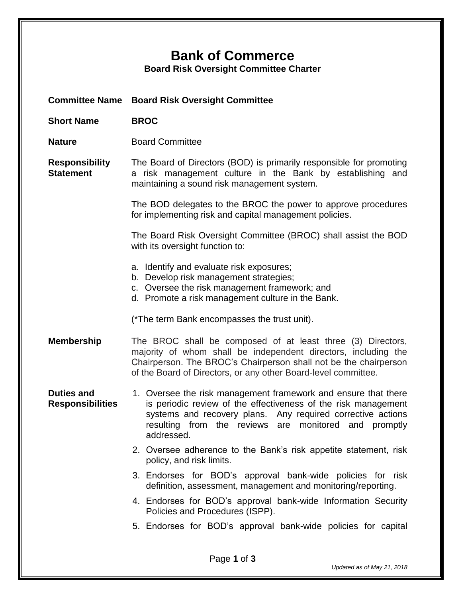## **Bank of Commerce**

**Board Risk Oversight Committee Charter**

| <b>Committee Name</b>                        | <b>Board Risk Oversight Committee</b>                                                                                                                                                                                                                                                         |  |  |  |
|----------------------------------------------|-----------------------------------------------------------------------------------------------------------------------------------------------------------------------------------------------------------------------------------------------------------------------------------------------|--|--|--|
| <b>Short Name</b>                            | <b>BROC</b>                                                                                                                                                                                                                                                                                   |  |  |  |
| <b>Nature</b>                                | <b>Board Committee</b>                                                                                                                                                                                                                                                                        |  |  |  |
| <b>Responsibility</b><br><b>Statement</b>    | The Board of Directors (BOD) is primarily responsible for promoting<br>a risk management culture in the Bank by establishing and<br>maintaining a sound risk management system.                                                                                                               |  |  |  |
|                                              | The BOD delegates to the BROC the power to approve procedures<br>for implementing risk and capital management policies.                                                                                                                                                                       |  |  |  |
|                                              | The Board Risk Oversight Committee (BROC) shall assist the BOD<br>with its oversight function to:<br>a. Identify and evaluate risk exposures;<br>b. Develop risk management strategies;<br>c. Oversee the risk management framework; and<br>d. Promote a risk management culture in the Bank. |  |  |  |
|                                              |                                                                                                                                                                                                                                                                                               |  |  |  |
|                                              | (*The term Bank encompasses the trust unit).                                                                                                                                                                                                                                                  |  |  |  |
| <b>Membership</b>                            | The BROC shall be composed of at least three (3) Directors,<br>majority of whom shall be independent directors, including the<br>Chairperson. The BROC's Chairperson shall not be the chairperson<br>of the Board of Directors, or any other Board-level committee.                           |  |  |  |
| <b>Duties and</b><br><b>Responsibilities</b> | 1. Oversee the risk management framework and ensure that there<br>is periodic review of the effectiveness of the risk management<br>systems and recovery plans. Any required corrective actions<br>resulting from the reviews are monitored and promptly<br>addressed.                        |  |  |  |
|                                              | 2. Oversee adherence to the Bank's risk appetite statement, risk<br>policy, and risk limits.                                                                                                                                                                                                  |  |  |  |
|                                              | 3. Endorses for BOD's approval bank-wide policies for risk<br>definition, assessment, management and monitoring/reporting.                                                                                                                                                                    |  |  |  |
|                                              | 4. Endorses for BOD's approval bank-wide Information Security<br>Policies and Procedures (ISPP).                                                                                                                                                                                              |  |  |  |
|                                              | 5. Endorses for BOD's approval bank-wide policies for capital                                                                                                                                                                                                                                 |  |  |  |
|                                              |                                                                                                                                                                                                                                                                                               |  |  |  |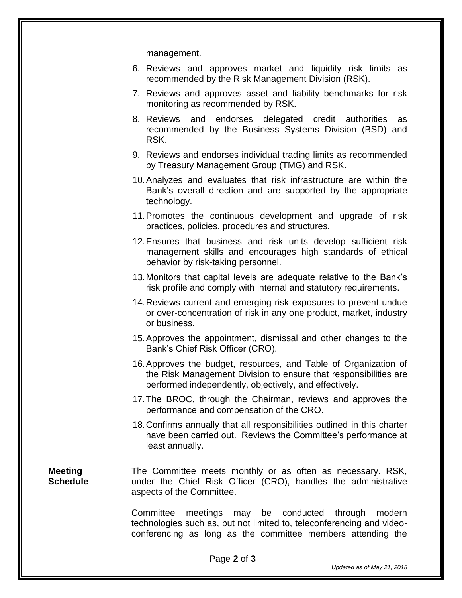management.

- 6. Reviews and approves market and liquidity risk limits as recommended by the Risk Management Division (RSK).
- 7. Reviews and approves asset and liability benchmarks for risk monitoring as recommended by RSK.
- 8. Reviews and endorses delegated credit authorities as recommended by the Business Systems Division (BSD) and RSK.
- 9. Reviews and endorses individual trading limits as recommended by Treasury Management Group (TMG) and RSK.
- 10.Analyzes and evaluates that risk infrastructure are within the Bank's overall direction and are supported by the appropriate technology.
- 11.Promotes the continuous development and upgrade of risk practices, policies, procedures and structures.
- 12.Ensures that business and risk units develop sufficient risk management skills and encourages high standards of ethical behavior by risk-taking personnel.
- 13.Monitors that capital levels are adequate relative to the Bank's risk profile and comply with internal and statutory requirements.
- 14.Reviews current and emerging risk exposures to prevent undue or over-concentration of risk in any one product, market, industry or business.
- 15.Approves the appointment, dismissal and other changes to the Bank's Chief Risk Officer (CRO).
- 16.Approves the budget, resources, and Table of Organization of the Risk Management Division to ensure that responsibilities are performed independently, objectively, and effectively.
- 17.The BROC, through the Chairman, reviews and approves the performance and compensation of the CRO.
- 18.Confirms annually that all responsibilities outlined in this charter have been carried out. Reviews the Committee's performance at least annually.

**Meeting Schedule** The Committee meets monthly or as often as necessary. RSK, under the Chief Risk Officer (CRO), handles the administrative aspects of the Committee.

> Committee meetings may be conducted through modern technologies such as, but not limited to, teleconferencing and videoconferencing as long as the committee members attending the